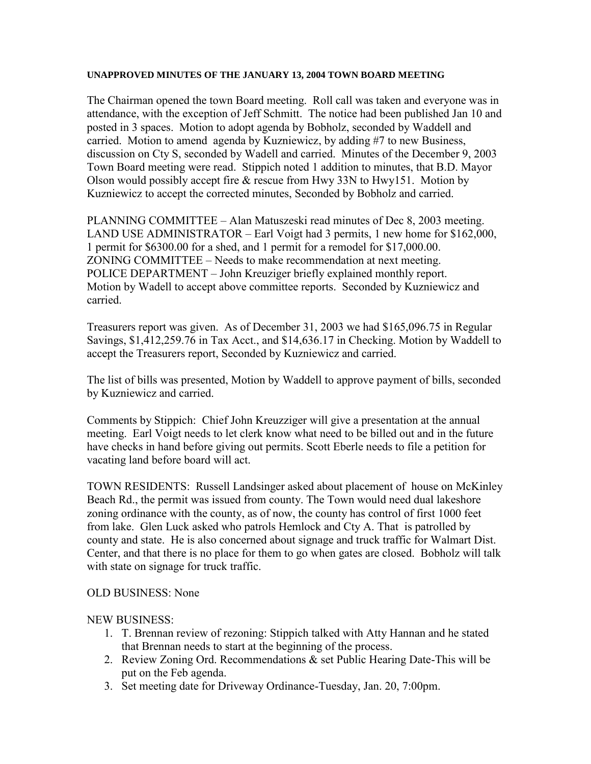#### **UNAPPROVED MINUTES OF THE JANUARY 13, 2004 TOWN BOARD MEETING**

The Chairman opened the town Board meeting. Roll call was taken and everyone was in attendance, with the exception of Jeff Schmitt. The notice had been published Jan 10 and posted in 3 spaces. Motion to adopt agenda by Bobholz, seconded by Waddell and carried. Motion to amend agenda by Kuzniewicz, by adding #7 to new Business, discussion on Cty S, seconded by Wadell and carried. Minutes of the December 9, 2003 Town Board meeting were read. Stippich noted 1 addition to minutes, that B.D. Mayor Olson would possibly accept fire & rescue from Hwy 33N to Hwy151. Motion by Kuzniewicz to accept the corrected minutes, Seconded by Bobholz and carried.

PLANNING COMMITTEE – Alan Matuszeski read minutes of Dec 8, 2003 meeting. LAND USE ADMINISTRATOR – Earl Voigt had 3 permits, 1 new home for \$162,000, 1 permit for \$6300.00 for a shed, and 1 permit for a remodel for \$17,000.00. ZONING COMMITTEE – Needs to make recommendation at next meeting. POLICE DEPARTMENT – John Kreuziger briefly explained monthly report. Motion by Wadell to accept above committee reports. Seconded by Kuzniewicz and carried.

Treasurers report was given. As of December 31, 2003 we had \$165,096.75 in Regular Savings, \$1,412,259.76 in Tax Acct., and \$14,636.17 in Checking. Motion by Waddell to accept the Treasurers report, Seconded by Kuzniewicz and carried.

The list of bills was presented, Motion by Waddell to approve payment of bills, seconded by Kuzniewicz and carried.

Comments by Stippich: Chief John Kreuzziger will give a presentation at the annual meeting. Earl Voigt needs to let clerk know what need to be billed out and in the future have checks in hand before giving out permits. Scott Eberle needs to file a petition for vacating land before board will act.

TOWN RESIDENTS: Russell Landsinger asked about placement of house on McKinley Beach Rd., the permit was issued from county. The Town would need dual lakeshore zoning ordinance with the county, as of now, the county has control of first 1000 feet from lake. Glen Luck asked who patrols Hemlock and Cty A. That is patrolled by county and state. He is also concerned about signage and truck traffic for Walmart Dist. Center, and that there is no place for them to go when gates are closed. Bobholz will talk with state on signage for truck traffic.

#### OLD BUSINESS: None

#### NEW BUSINESS:

- 1. T. Brennan review of rezoning: Stippich talked with Atty Hannan and he stated that Brennan needs to start at the beginning of the process.
- 2. Review Zoning Ord. Recommendations & set Public Hearing Date-This will be put on the Feb agenda.
- 3. Set meeting date for Driveway Ordinance-Tuesday, Jan. 20, 7:00pm.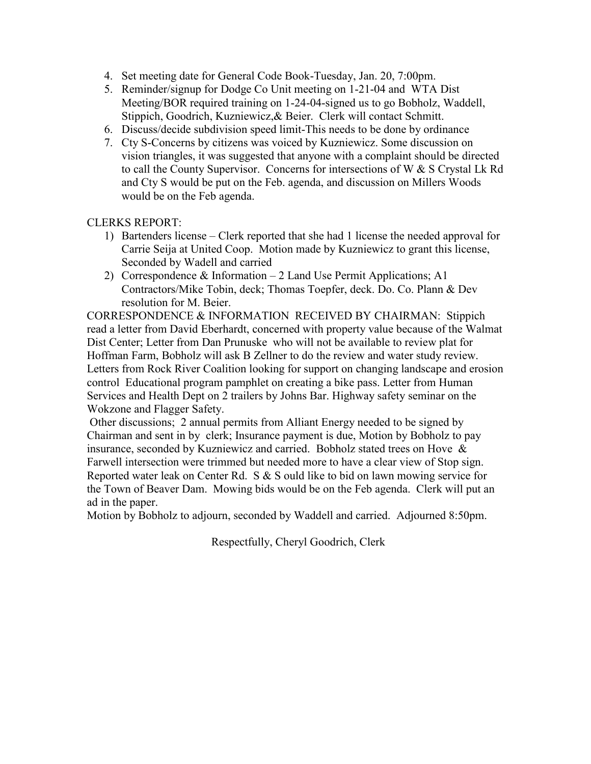- 4. Set meeting date for General Code Book-Tuesday, Jan. 20, 7:00pm.
- 5. Reminder/signup for Dodge Co Unit meeting on 1-21-04 and WTA Dist Meeting/BOR required training on 1-24-04-signed us to go Bobholz, Waddell, Stippich, Goodrich, Kuzniewicz,& Beier. Clerk will contact Schmitt.
- 6. Discuss/decide subdivision speed limit-This needs to be done by ordinance
- 7. Cty S-Concerns by citizens was voiced by Kuzniewicz. Some discussion on vision triangles, it was suggested that anyone with a complaint should be directed to call the County Supervisor. Concerns for intersections of W & S Crystal Lk Rd and Cty S would be put on the Feb. agenda, and discussion on Millers Woods would be on the Feb agenda.

CLERKS REPORT:

- 1) Bartenders license Clerk reported that she had 1 license the needed approval for Carrie Seija at United Coop. Motion made by Kuzniewicz to grant this license, Seconded by Wadell and carried
- 2) Correspondence & Information 2 Land Use Permit Applications; A1 Contractors/Mike Tobin, deck; Thomas Toepfer, deck. Do. Co. Plann & Dev resolution for M. Beier.

CORRESPONDENCE & INFORMATION RECEIVED BY CHAIRMAN: Stippich read a letter from David Eberhardt, concerned with property value because of the Walmat Dist Center; Letter from Dan Prunuske who will not be available to review plat for Hoffman Farm, Bobholz will ask B Zellner to do the review and water study review. Letters from Rock River Coalition looking for support on changing landscape and erosion control Educational program pamphlet on creating a bike pass. Letter from Human Services and Health Dept on 2 trailers by Johns Bar. Highway safety seminar on the Wokzone and Flagger Safety.

Other discussions; 2 annual permits from Alliant Energy needed to be signed by Chairman and sent in by clerk; Insurance payment is due, Motion by Bobholz to pay insurance, seconded by Kuzniewicz and carried. Bobholz stated trees on Hove & Farwell intersection were trimmed but needed more to have a clear view of Stop sign. Reported water leak on Center Rd. S & S ould like to bid on lawn mowing service for the Town of Beaver Dam. Mowing bids would be on the Feb agenda. Clerk will put an ad in the paper.

Motion by Bobholz to adjourn, seconded by Waddell and carried. Adjourned 8:50pm.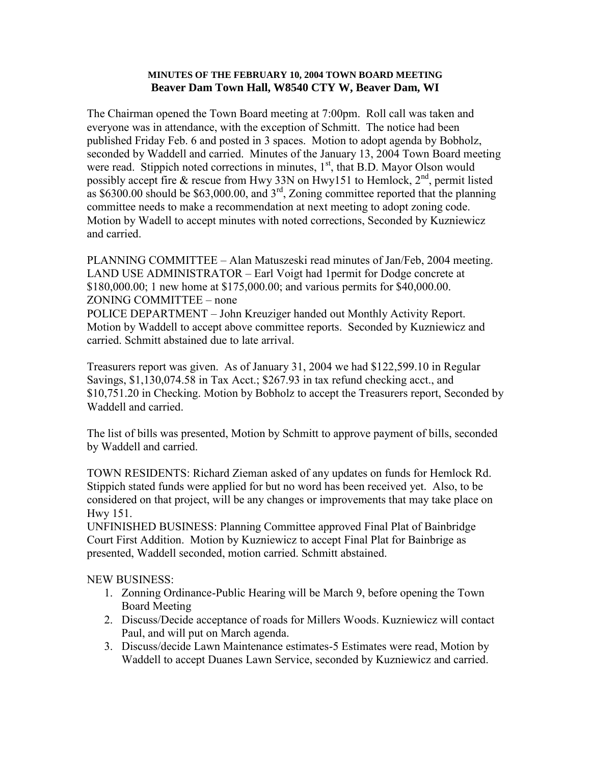#### **MINUTES OF THE FEBRUARY 10, 2004 TOWN BOARD MEETING Beaver Dam Town Hall, W8540 CTY W, Beaver Dam, WI**

The Chairman opened the Town Board meeting at 7:00pm. Roll call was taken and everyone was in attendance, with the exception of Schmitt. The notice had been published Friday Feb. 6 and posted in 3 spaces. Motion to adopt agenda by Bobholz, seconded by Waddell and carried. Minutes of the January 13, 2004 Town Board meeting were read. Stippich noted corrections in minutes,  $1<sup>st</sup>$ , that B.D. Mayor Olson would possibly accept fire & rescue from Hwy 33N on Hwy151 to Hemlock,  $2<sup>nd</sup>$ , permit listed as  $$6300.00$  should be  $$63,000.00$ , and  $3<sup>rd</sup>$ , Zoning committee reported that the planning committee needs to make a recommendation at next meeting to adopt zoning code. Motion by Wadell to accept minutes with noted corrections, Seconded by Kuzniewicz and carried.

PLANNING COMMITTEE – Alan Matuszeski read minutes of Jan/Feb, 2004 meeting. LAND USE ADMINISTRATOR – Earl Voigt had 1permit for Dodge concrete at \$180,000.00; 1 new home at \$175,000.00; and various permits for \$40,000.00. ZONING COMMITTEE – none

POLICE DEPARTMENT – John Kreuziger handed out Monthly Activity Report. Motion by Waddell to accept above committee reports. Seconded by Kuzniewicz and carried. Schmitt abstained due to late arrival.

Treasurers report was given. As of January 31, 2004 we had \$122,599.10 in Regular Savings, \$1,130,074.58 in Tax Acct.; \$267.93 in tax refund checking acct., and \$10,751.20 in Checking. Motion by Bobholz to accept the Treasurers report, Seconded by Waddell and carried.

The list of bills was presented, Motion by Schmitt to approve payment of bills, seconded by Waddell and carried.

TOWN RESIDENTS: Richard Zieman asked of any updates on funds for Hemlock Rd. Stippich stated funds were applied for but no word has been received yet. Also, to be considered on that project, will be any changes or improvements that may take place on Hwy 151.

UNFINISHED BUSINESS: Planning Committee approved Final Plat of Bainbridge Court First Addition. Motion by Kuzniewicz to accept Final Plat for Bainbrige as presented, Waddell seconded, motion carried. Schmitt abstained.

NEW BUSINESS:

- 1. Zonning Ordinance-Public Hearing will be March 9, before opening the Town Board Meeting
- 2. Discuss/Decide acceptance of roads for Millers Woods. Kuzniewicz will contact Paul, and will put on March agenda.
- 3. Discuss/decide Lawn Maintenance estimates-5 Estimates were read, Motion by Waddell to accept Duanes Lawn Service, seconded by Kuzniewicz and carried.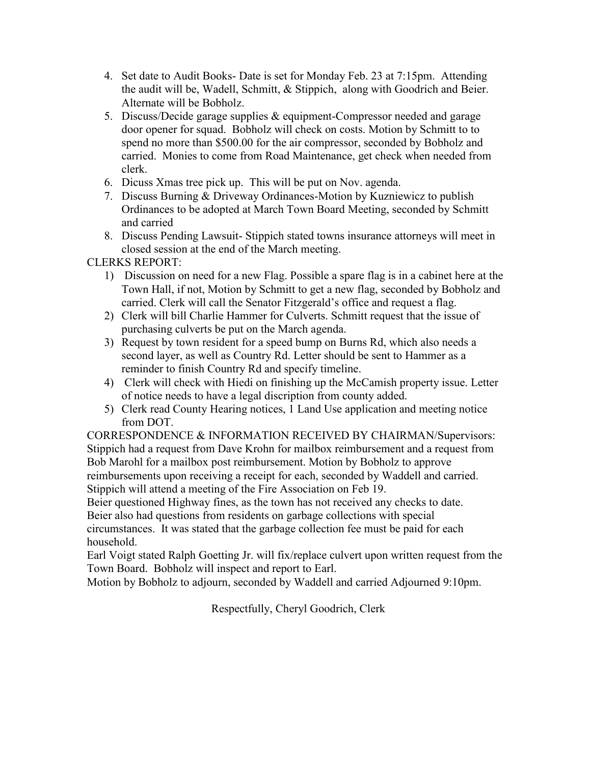- 4. Set date to Audit Books- Date is set for Monday Feb. 23 at 7:15pm. Attending the audit will be, Wadell, Schmitt, & Stippich, along with Goodrich and Beier. Alternate will be Bobholz.
- 5. Discuss/Decide garage supplies & equipment-Compressor needed and garage door opener for squad. Bobholz will check on costs. Motion by Schmitt to to spend no more than \$500.00 for the air compressor, seconded by Bobholz and carried. Monies to come from Road Maintenance, get check when needed from clerk.
- 6. Dicuss Xmas tree pick up. This will be put on Nov. agenda.
- 7. Discuss Burning & Driveway Ordinances-Motion by Kuzniewicz to publish Ordinances to be adopted at March Town Board Meeting, seconded by Schmitt and carried
- 8. Discuss Pending Lawsuit- Stippich stated towns insurance attorneys will meet in closed session at the end of the March meeting.

CLERKS REPORT:

- 1) Discussion on need for a new Flag. Possible a spare flag is in a cabinet here at the Town Hall, if not, Motion by Schmitt to get a new flag, seconded by Bobholz and carried. Clerk will call the Senator Fitzgerald's office and request a flag.
- 2) Clerk will bill Charlie Hammer for Culverts. Schmitt request that the issue of purchasing culverts be put on the March agenda.
- 3) Request by town resident for a speed bump on Burns Rd, which also needs a second layer, as well as Country Rd. Letter should be sent to Hammer as a reminder to finish Country Rd and specify timeline.
- 4) Clerk will check with Hiedi on finishing up the McCamish property issue. Letter of notice needs to have a legal discription from county added.
- 5) Clerk read County Hearing notices, 1 Land Use application and meeting notice from DOT.

CORRESPONDENCE & INFORMATION RECEIVED BY CHAIRMAN/Supervisors: Stippich had a request from Dave Krohn for mailbox reimbursement and a request from Bob Marohl for a mailbox post reimbursement. Motion by Bobholz to approve reimbursements upon receiving a receipt for each, seconded by Waddell and carried. Stippich will attend a meeting of the Fire Association on Feb 19.

Beier questioned Highway fines, as the town has not received any checks to date.

Beier also had questions from residents on garbage collections with special circumstances. It was stated that the garbage collection fee must be paid for each household.

Earl Voigt stated Ralph Goetting Jr. will fix/replace culvert upon written request from the Town Board. Bobholz will inspect and report to Earl.

Motion by Bobholz to adjourn, seconded by Waddell and carried Adjourned 9:10pm.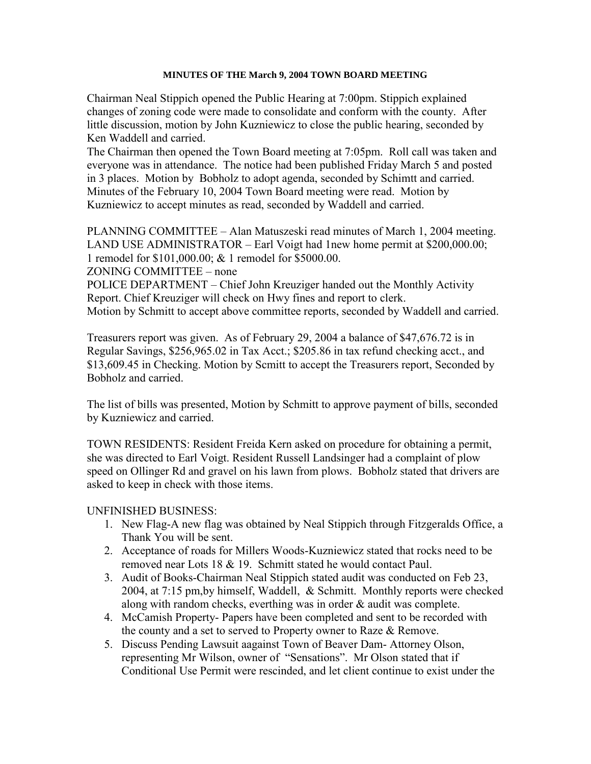#### **MINUTES OF THE March 9, 2004 TOWN BOARD MEETING**

Chairman Neal Stippich opened the Public Hearing at 7:00pm. Stippich explained changes of zoning code were made to consolidate and conform with the county. After little discussion, motion by John Kuzniewicz to close the public hearing, seconded by Ken Waddell and carried.

The Chairman then opened the Town Board meeting at 7:05pm. Roll call was taken and everyone was in attendance. The notice had been published Friday March 5 and posted in 3 places. Motion by Bobholz to adopt agenda, seconded by Schimtt and carried. Minutes of the February 10, 2004 Town Board meeting were read. Motion by Kuzniewicz to accept minutes as read, seconded by Waddell and carried.

PLANNING COMMITTEE – Alan Matuszeski read minutes of March 1, 2004 meeting. LAND USE ADMINISTRATOR – Earl Voigt had 1new home permit at \$200,000.00; 1 remodel for \$101,000.00; & 1 remodel for \$5000.00. ZONING COMMITTEE – none

POLICE DEPARTMENT – Chief John Kreuziger handed out the Monthly Activity Report. Chief Kreuziger will check on Hwy fines and report to clerk. Motion by Schmitt to accept above committee reports, seconded by Waddell and carried.

Treasurers report was given. As of February 29, 2004 a balance of \$47,676.72 is in Regular Savings, \$256,965.02 in Tax Acct.; \$205.86 in tax refund checking acct., and \$13,609.45 in Checking. Motion by Scmitt to accept the Treasurers report, Seconded by Bobholz and carried.

The list of bills was presented, Motion by Schmitt to approve payment of bills, seconded by Kuzniewicz and carried.

TOWN RESIDENTS: Resident Freida Kern asked on procedure for obtaining a permit, she was directed to Earl Voigt. Resident Russell Landsinger had a complaint of plow speed on Ollinger Rd and gravel on his lawn from plows. Bobholz stated that drivers are asked to keep in check with those items.

## UNFINISHED BUSINESS:

- 1. New Flag-A new flag was obtained by Neal Stippich through Fitzgeralds Office, a Thank You will be sent.
- 2. Acceptance of roads for Millers Woods-Kuzniewicz stated that rocks need to be removed near Lots 18 & 19. Schmitt stated he would contact Paul.
- 3. Audit of Books-Chairman Neal Stippich stated audit was conducted on Feb 23, 2004, at 7:15 pm,by himself, Waddell, & Schmitt. Monthly reports were checked along with random checks, everthing was in order & audit was complete.
- 4. McCamish Property- Papers have been completed and sent to be recorded with the county and a set to served to Property owner to Raze & Remove.
- 5. Discuss Pending Lawsuit aagainst Town of Beaver Dam- Attorney Olson, representing Mr Wilson, owner of "Sensations". Mr Olson stated that if Conditional Use Permit were rescinded, and let client continue to exist under the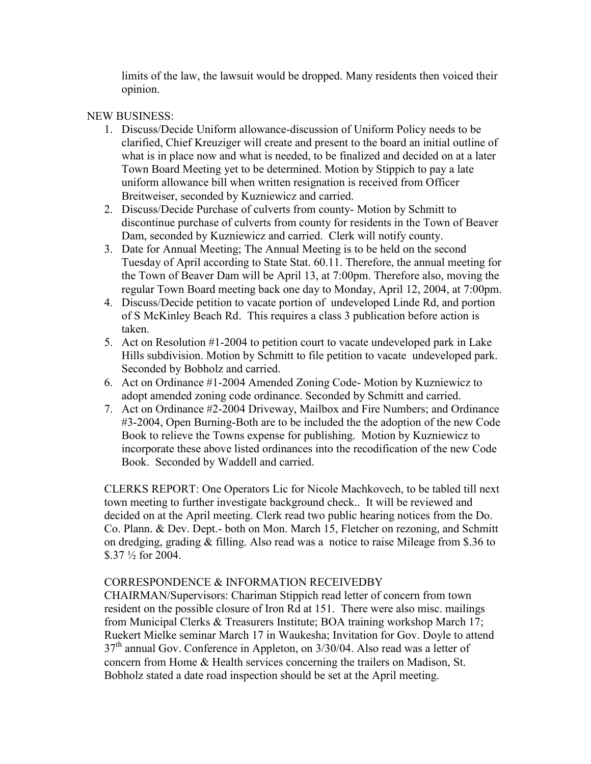limits of the law, the lawsuit would be dropped. Many residents then voiced their opinion.

#### NEW BUSINESS:

- 1. Discuss/Decide Uniform allowance-discussion of Uniform Policy needs to be clarified, Chief Kreuziger will create and present to the board an initial outline of what is in place now and what is needed, to be finalized and decided on at a later Town Board Meeting yet to be determined. Motion by Stippich to pay a late uniform allowance bill when written resignation is received from Officer Breitweiser, seconded by Kuzniewicz and carried.
- 2. Discuss/Decide Purchase of culverts from county- Motion by Schmitt to discontinue purchase of culverts from county for residents in the Town of Beaver Dam, seconded by Kuzniewicz and carried. Clerk will notify county.
- 3. Date for Annual Meeting; The Annual Meeting is to be held on the second Tuesday of April according to State Stat. 60.11. Therefore, the annual meeting for the Town of Beaver Dam will be April 13, at 7:00pm. Therefore also, moving the regular Town Board meeting back one day to Monday, April 12, 2004, at 7:00pm.
- 4. Discuss/Decide petition to vacate portion of undeveloped Linde Rd, and portion of S McKinley Beach Rd. This requires a class 3 publication before action is taken.
- 5. Act on Resolution #1-2004 to petition court to vacate undeveloped park in Lake Hills subdivision. Motion by Schmitt to file petition to vacate undeveloped park. Seconded by Bobholz and carried.
- 6. Act on Ordinance #1-2004 Amended Zoning Code- Motion by Kuzniewicz to adopt amended zoning code ordinance. Seconded by Schmitt and carried.
- 7. Act on Ordinance #2-2004 Driveway, Mailbox and Fire Numbers; and Ordinance #3-2004, Open Burning-Both are to be included the the adoption of the new Code Book to relieve the Towns expense for publishing. Motion by Kuzniewicz to incorporate these above listed ordinances into the recodification of the new Code Book. Seconded by Waddell and carried.

CLERKS REPORT: One Operators Lic for Nicole Machkovech, to be tabled till next town meeting to further investigate background check.. It will be reviewed and decided on at the April meeting. Clerk read two public hearing notices from the Do. Co. Plann. & Dev. Dept.- both on Mon. March 15, Fletcher on rezoning, and Schmitt on dredging, grading & filling. Also read was a notice to raise Mileage from \$.36 to \$.37 ½ for 2004.

## CORRESPONDENCE & INFORMATION RECEIVEDBY

CHAIRMAN/Supervisors: Chariman Stippich read letter of concern from town resident on the possible closure of Iron Rd at 151. There were also misc. mailings from Municipal Clerks & Treasurers Institute; BOA training workshop March 17; Ruekert Mielke seminar March 17 in Waukesha; Invitation for Gov. Doyle to attend  $37<sup>th</sup>$  annual Gov. Conference in Appleton, on  $3/30/04$ . Also read was a letter of concern from Home & Health services concerning the trailers on Madison, St. Bobholz stated a date road inspection should be set at the April meeting.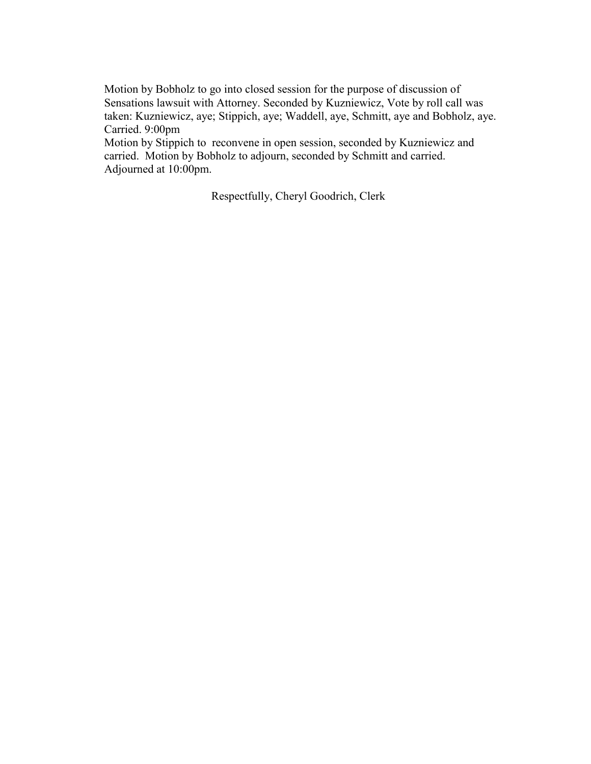Motion by Bobholz to go into closed session for the purpose of discussion of Sensations lawsuit with Attorney. Seconded by Kuzniewicz, Vote by roll call was taken: Kuzniewicz, aye; Stippich, aye; Waddell, aye, Schmitt, aye and Bobholz, aye. Carried. 9:00pm

Motion by Stippich to reconvene in open session, seconded by Kuzniewicz and carried. Motion by Bobholz to adjourn, seconded by Schmitt and carried. Adjourned at 10:00pm.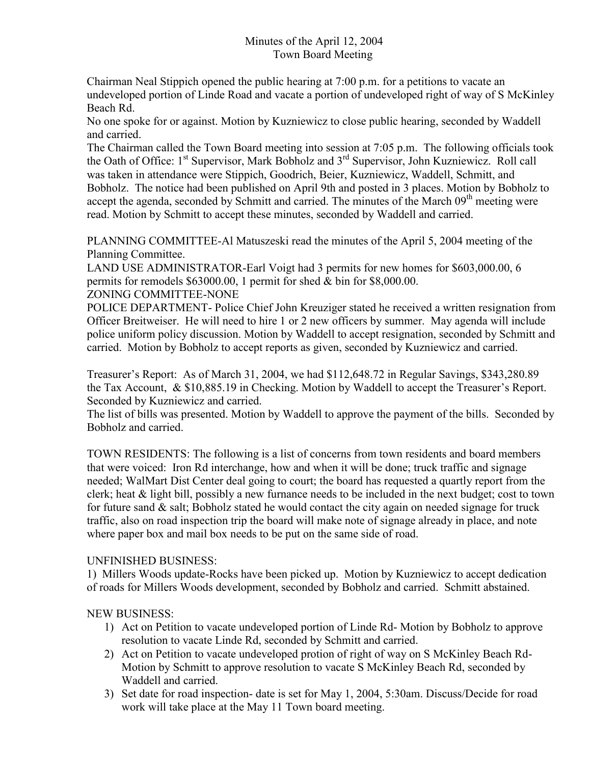## Minutes of the April 12, 2004 Town Board Meeting

Chairman Neal Stippich opened the public hearing at 7:00 p.m. for a petitions to vacate an undeveloped portion of Linde Road and vacate a portion of undeveloped right of way of S McKinley Beach Rd.

No one spoke for or against. Motion by Kuzniewicz to close public hearing, seconded by Waddell and carried.

The Chairman called the Town Board meeting into session at 7:05 p.m. The following officials took the Oath of Office: 1<sup>st</sup> Supervisor, Mark Bobholz and 3<sup>rd</sup> Supervisor, John Kuzniewicz. Roll call was taken in attendance were Stippich, Goodrich, Beier, Kuzniewicz, Waddell, Schmitt, and Bobholz. The notice had been published on April 9th and posted in 3 places. Motion by Bobholz to accept the agenda, seconded by Schmitt and carried. The minutes of the March 09<sup>th</sup> meeting were read. Motion by Schmitt to accept these minutes, seconded by Waddell and carried.

PLANNING COMMITTEE-Al Matuszeski read the minutes of the April 5, 2004 meeting of the Planning Committee.

LAND USE ADMINISTRATOR-Earl Voigt had 3 permits for new homes for \$603,000.00, 6 permits for remodels \$63000.00, 1 permit for shed & bin for \$8,000.00.

ZONING COMMITTEE-NONE

POLICE DEPARTMENT- Police Chief John Kreuziger stated he received a written resignation from Officer Breitweiser. He will need to hire 1 or 2 new officers by summer. May agenda will include police uniform policy discussion. Motion by Waddell to accept resignation, seconded by Schmitt and carried. Motion by Bobholz to accept reports as given, seconded by Kuzniewicz and carried.

Treasurer's Report: As of March 31, 2004, we had \$112,648.72 in Regular Savings, \$343,280.89 the Tax Account, & \$10,885.19 in Checking. Motion by Waddell to accept the Treasurer's Report. Seconded by Kuzniewicz and carried.

The list of bills was presented. Motion by Waddell to approve the payment of the bills. Seconded by Bobholz and carried.

TOWN RESIDENTS: The following is a list of concerns from town residents and board members that were voiced: Iron Rd interchange, how and when it will be done; truck traffic and signage needed; WalMart Dist Center deal going to court; the board has requested a quartly report from the clerk; heat & light bill, possibly a new furnance needs to be included in the next budget; cost to town for future sand  $\&$  salt; Bobholz stated he would contact the city again on needed signage for truck traffic, also on road inspection trip the board will make note of signage already in place, and note where paper box and mail box needs to be put on the same side of road.

## UNFINISHED BUSINESS:

1) Millers Woods update-Rocks have been picked up. Motion by Kuzniewicz to accept dedication of roads for Millers Woods development, seconded by Bobholz and carried. Schmitt abstained.

NEW BUSINESS:

- 1) Act on Petition to vacate undeveloped portion of Linde Rd- Motion by Bobholz to approve resolution to vacate Linde Rd, seconded by Schmitt and carried.
- 2) Act on Petition to vacate undeveloped protion of right of way on S McKinley Beach Rd-Motion by Schmitt to approve resolution to vacate S McKinley Beach Rd, seconded by Waddell and carried.
- 3) Set date for road inspection- date is set for May 1, 2004, 5:30am. Discuss/Decide for road work will take place at the May 11 Town board meeting.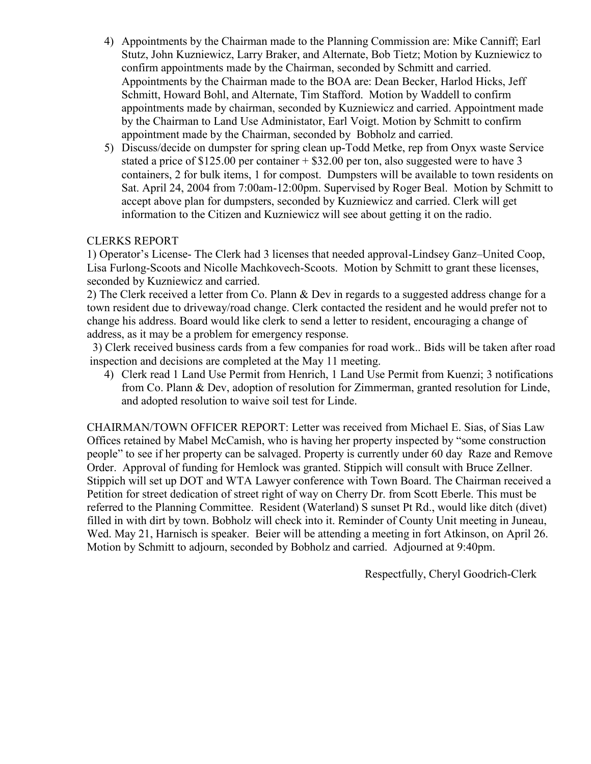- 4) Appointments by the Chairman made to the Planning Commission are: Mike Canniff; Earl Stutz, John Kuzniewicz, Larry Braker, and Alternate, Bob Tietz; Motion by Kuzniewicz to confirm appointments made by the Chairman, seconded by Schmitt and carried. Appointments by the Chairman made to the BOA are: Dean Becker, Harlod Hicks, Jeff Schmitt, Howard Bohl, and Alternate, Tim Stafford. Motion by Waddell to confirm appointments made by chairman, seconded by Kuzniewicz and carried. Appointment made by the Chairman to Land Use Administator, Earl Voigt. Motion by Schmitt to confirm appointment made by the Chairman, seconded by Bobholz and carried.
- 5) Discuss/decide on dumpster for spring clean up-Todd Metke, rep from Onyx waste Service stated a price of  $$125.00$  per container  $+ $32.00$  per ton, also suggested were to have 3 containers, 2 for bulk items, 1 for compost. Dumpsters will be available to town residents on Sat. April 24, 2004 from 7:00am-12:00pm. Supervised by Roger Beal. Motion by Schmitt to accept above plan for dumpsters, seconded by Kuzniewicz and carried. Clerk will get information to the Citizen and Kuzniewicz will see about getting it on the radio.

## CLERKS REPORT

1) Operator's License- The Clerk had 3 licenses that needed approval-Lindsey Ganz–United Coop, Lisa Furlong-Scoots and Nicolle Machkovech-Scoots. Motion by Schmitt to grant these licenses, seconded by Kuzniewicz and carried.

2) The Clerk received a letter from Co. Plann & Dev in regards to a suggested address change for a town resident due to driveway/road change. Clerk contacted the resident and he would prefer not to change his address. Board would like clerk to send a letter to resident, encouraging a change of address, as it may be a problem for emergency response.

3) Clerk received business cards from a few companies for road work.. Bids will be taken after road inspection and decisions are completed at the May 11 meeting.

4) Clerk read 1 Land Use Permit from Henrich, 1 Land Use Permit from Kuenzi; 3 notifications from Co. Plann & Dev, adoption of resolution for Zimmerman, granted resolution for Linde, and adopted resolution to waive soil test for Linde.

CHAIRMAN/TOWN OFFICER REPORT: Letter was received from Michael E. Sias, of Sias Law Offices retained by Mabel McCamish, who is having her property inspected by "some construction people" to see if her property can be salvaged. Property is currently under 60 day Raze and Remove Order. Approval of funding for Hemlock was granted. Stippich will consult with Bruce Zellner. Stippich will set up DOT and WTA Lawyer conference with Town Board. The Chairman received a Petition for street dedication of street right of way on Cherry Dr. from Scott Eberle. This must be referred to the Planning Committee. Resident (Waterland) S sunset Pt Rd., would like ditch (divet) filled in with dirt by town. Bobholz will check into it. Reminder of County Unit meeting in Juneau, Wed. May 21, Harnisch is speaker. Beier will be attending a meeting in fort Atkinson, on April 26. Motion by Schmitt to adjourn, seconded by Bobholz and carried. Adjourned at 9:40pm.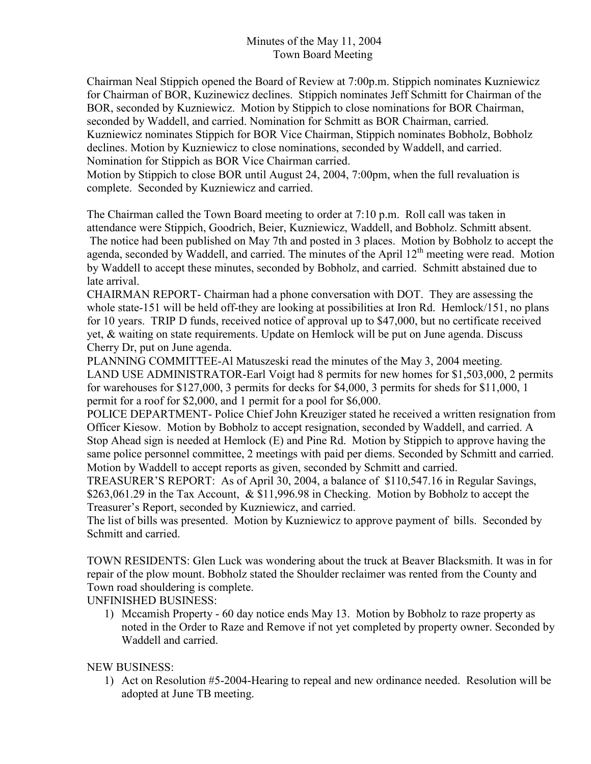Chairman Neal Stippich opened the Board of Review at 7:00p.m. Stippich nominates Kuzniewicz for Chairman of BOR, Kuzinewicz declines. Stippich nominates Jeff Schmitt for Chairman of the BOR, seconded by Kuzniewicz. Motion by Stippich to close nominations for BOR Chairman, seconded by Waddell, and carried. Nomination for Schmitt as BOR Chairman, carried. Kuzniewicz nominates Stippich for BOR Vice Chairman, Stippich nominates Bobholz, Bobholz declines. Motion by Kuzniewicz to close nominations, seconded by Waddell, and carried. Nomination for Stippich as BOR Vice Chairman carried.

Motion by Stippich to close BOR until August 24, 2004, 7:00pm, when the full revaluation is complete. Seconded by Kuzniewicz and carried.

The Chairman called the Town Board meeting to order at 7:10 p.m. Roll call was taken in attendance were Stippich, Goodrich, Beier, Kuzniewicz, Waddell, and Bobholz. Schmitt absent. The notice had been published on May 7th and posted in 3 places. Motion by Bobholz to accept the agenda, seconded by Waddell, and carried. The minutes of the April 12<sup>th</sup> meeting were read. Motion by Waddell to accept these minutes, seconded by Bobholz, and carried. Schmitt abstained due to late arrival.

CHAIRMAN REPORT- Chairman had a phone conversation with DOT. They are assessing the whole state-151 will be held off-they are looking at possibilities at Iron Rd. Hemlock/151, no plans for 10 years. TRIP D funds, received notice of approval up to \$47,000, but no certificate received yet, & waiting on state requirements. Update on Hemlock will be put on June agenda. Discuss Cherry Dr, put on June agenda.

PLANNING COMMITTEE-Al Matuszeski read the minutes of the May 3, 2004 meeting. LAND USE ADMINISTRATOR-Earl Voigt had 8 permits for new homes for \$1,503,000, 2 permits for warehouses for \$127,000, 3 permits for decks for \$4,000, 3 permits for sheds for \$11,000, 1 permit for a roof for \$2,000, and 1 permit for a pool for \$6,000.

POLICE DEPARTMENT- Police Chief John Kreuziger stated he received a written resignation from Officer Kiesow. Motion by Bobholz to accept resignation, seconded by Waddell, and carried. A Stop Ahead sign is needed at Hemlock (E) and Pine Rd. Motion by Stippich to approve having the same police personnel committee, 2 meetings with paid per diems. Seconded by Schmitt and carried. Motion by Waddell to accept reports as given, seconded by Schmitt and carried.

TREASURER'S REPORT: As of April 30, 2004, a balance of \$110,547.16 in Regular Savings, \$263,061.29 in the Tax Account, & \$11,996.98 in Checking. Motion by Bobholz to accept the Treasurer's Report, seconded by Kuzniewicz, and carried.

The list of bills was presented. Motion by Kuzniewicz to approve payment of bills. Seconded by Schmitt and carried.

TOWN RESIDENTS: Glen Luck was wondering about the truck at Beaver Blacksmith. It was in for repair of the plow mount. Bobholz stated the Shoulder reclaimer was rented from the County and Town road shouldering is complete.

UNFINISHED BUSINESS:

1) Mccamish Property - 60 day notice ends May 13. Motion by Bobholz to raze property as noted in the Order to Raze and Remove if not yet completed by property owner. Seconded by Waddell and carried.

## NEW BUSINESS:

1) Act on Resolution #5-2004-Hearing to repeal and new ordinance needed. Resolution will be adopted at June TB meeting.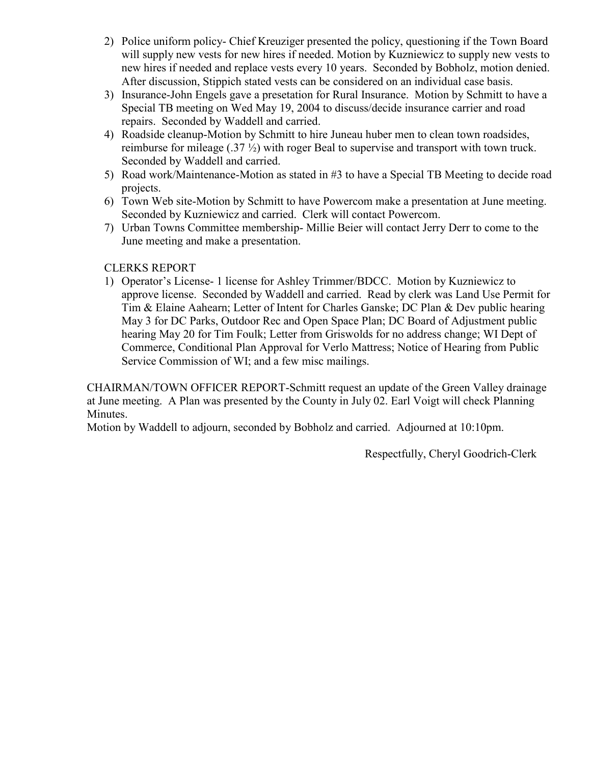- 2) Police uniform policy- Chief Kreuziger presented the policy, questioning if the Town Board will supply new vests for new hires if needed. Motion by Kuzniewicz to supply new vests to new hires if needed and replace vests every 10 years. Seconded by Bobholz, motion denied. After discussion, Stippich stated vests can be considered on an individual case basis.
- 3) Insurance-John Engels gave a presetation for Rural Insurance. Motion by Schmitt to have a Special TB meeting on Wed May 19, 2004 to discuss/decide insurance carrier and road repairs. Seconded by Waddell and carried.
- 4) Roadside cleanup-Motion by Schmitt to hire Juneau huber men to clean town roadsides, reimburse for mileage (.37 ½) with roger Beal to supervise and transport with town truck. Seconded by Waddell and carried.
- 5) Road work/Maintenance-Motion as stated in #3 to have a Special TB Meeting to decide road projects.
- 6) Town Web site-Motion by Schmitt to have Powercom make a presentation at June meeting. Seconded by Kuzniewicz and carried. Clerk will contact Powercom.
- 7) Urban Towns Committee membership- Millie Beier will contact Jerry Derr to come to the June meeting and make a presentation.

# CLERKS REPORT

1) Operator's License- 1 license for Ashley Trimmer/BDCC. Motion by Kuzniewicz to approve license. Seconded by Waddell and carried. Read by clerk was Land Use Permit for Tim & Elaine Aahearn; Letter of Intent for Charles Ganske; DC Plan & Dev public hearing May 3 for DC Parks, Outdoor Rec and Open Space Plan; DC Board of Adjustment public hearing May 20 for Tim Foulk; Letter from Griswolds for no address change; WI Dept of Commerce, Conditional Plan Approval for Verlo Mattress; Notice of Hearing from Public Service Commission of WI; and a few misc mailings.

CHAIRMAN/TOWN OFFICER REPORT-Schmitt request an update of the Green Valley drainage at June meeting. A Plan was presented by the County in July 02. Earl Voigt will check Planning Minutes.

Motion by Waddell to adjourn, seconded by Bobholz and carried. Adjourned at 10:10pm.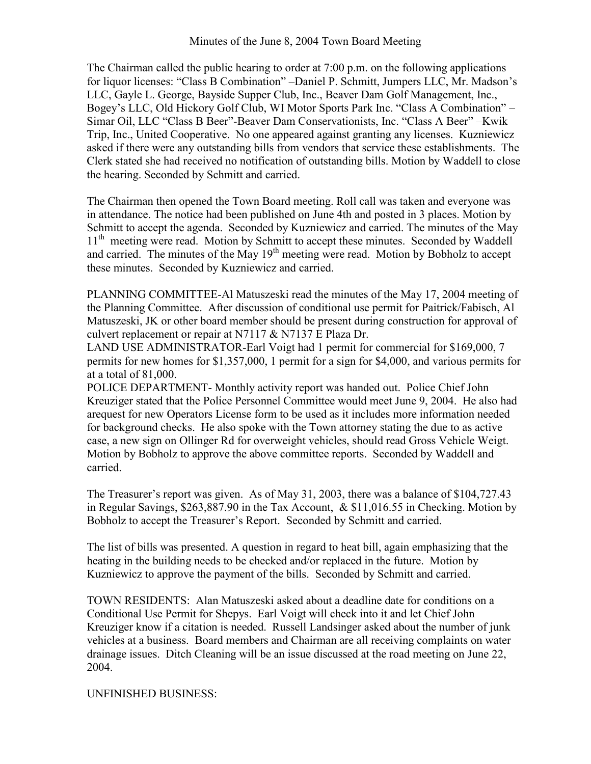The Chairman called the public hearing to order at 7:00 p.m. on the following applications for liquor licenses: "Class B Combination" –Daniel P. Schmitt, Jumpers LLC, Mr. Madson's LLC, Gayle L. George, Bayside Supper Club, Inc., Beaver Dam Golf Management, Inc., Bogey's LLC, Old Hickory Golf Club, WI Motor Sports Park Inc. "Class A Combination" – Simar Oil, LLC "Class B Beer"-Beaver Dam Conservationists, Inc. "Class A Beer" –Kwik Trip, Inc., United Cooperative. No one appeared against granting any licenses. Kuzniewicz asked if there were any outstanding bills from vendors that service these establishments. The Clerk stated she had received no notification of outstanding bills. Motion by Waddell to close the hearing. Seconded by Schmitt and carried.

The Chairman then opened the Town Board meeting. Roll call was taken and everyone was in attendance. The notice had been published on June 4th and posted in 3 places. Motion by Schmitt to accept the agenda. Seconded by Kuzniewicz and carried. The minutes of the May 11<sup>th</sup> meeting were read. Motion by Schmitt to accept these minutes. Seconded by Waddell and carried. The minutes of the May  $19<sup>th</sup>$  meeting were read. Motion by Bobholz to accept these minutes. Seconded by Kuzniewicz and carried.

PLANNING COMMITTEE-Al Matuszeski read the minutes of the May 17, 2004 meeting of the Planning Committee. After discussion of conditional use permit for Paitrick/Fabisch, Al Matuszeski, JK or other board member should be present during construction for approval of culvert replacement or repair at N7117 & N7137 E Plaza Dr.

LAND USE ADMINISTRATOR-Earl Voigt had 1 permit for commercial for \$169,000, 7 permits for new homes for \$1,357,000, 1 permit for a sign for \$4,000, and various permits for at a total of 81,000.

POLICE DEPARTMENT- Monthly activity report was handed out. Police Chief John Kreuziger stated that the Police Personnel Committee would meet June 9, 2004. He also had arequest for new Operators License form to be used as it includes more information needed for background checks. He also spoke with the Town attorney stating the due to as active case, a new sign on Ollinger Rd for overweight vehicles, should read Gross Vehicle Weigt. Motion by Bobholz to approve the above committee reports. Seconded by Waddell and carried.

The Treasurer's report was given. As of May 31, 2003, there was a balance of \$104,727.43 in Regular Savings, \$263,887.90 in the Tax Account, & \$11,016.55 in Checking. Motion by Bobholz to accept the Treasurer's Report. Seconded by Schmitt and carried.

The list of bills was presented. A question in regard to heat bill, again emphasizing that the heating in the building needs to be checked and/or replaced in the future. Motion by Kuzniewicz to approve the payment of the bills. Seconded by Schmitt and carried.

TOWN RESIDENTS: Alan Matuszeski asked about a deadline date for conditions on a Conditional Use Permit for Shepys. Earl Voigt will check into it and let Chief John Kreuziger know if a citation is needed. Russell Landsinger asked about the number of junk vehicles at a business. Board members and Chairman are all receiving complaints on water drainage issues. Ditch Cleaning will be an issue discussed at the road meeting on June 22, 2004.

UNFINISHED BUSINESS: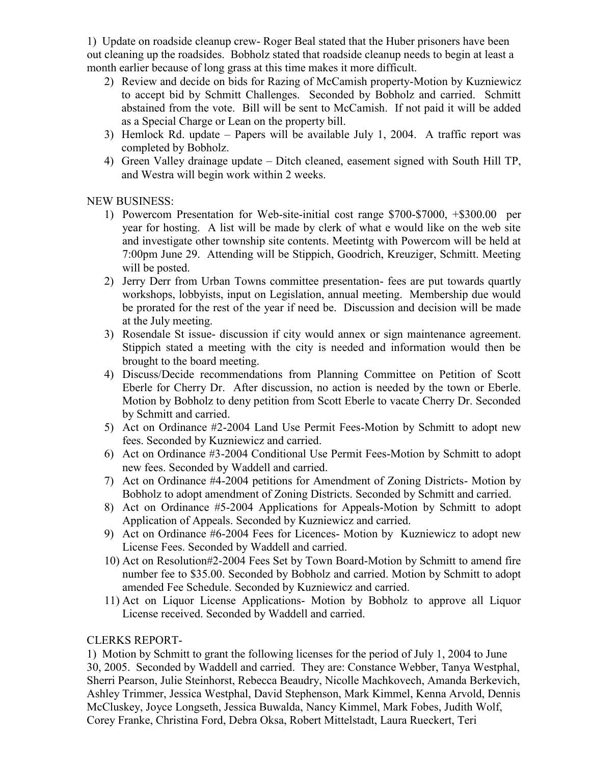1) Update on roadside cleanup crew- Roger Beal stated that the Huber prisoners have been out cleaning up the roadsides. Bobholz stated that roadside cleanup needs to begin at least a month earlier because of long grass at this time makes it more difficult.

- 2) Review and decide on bids for Razing of McCamish property-Motion by Kuzniewicz to accept bid by Schmitt Challenges. Seconded by Bobholz and carried. Schmitt abstained from the vote. Bill will be sent to McCamish. If not paid it will be added as a Special Charge or Lean on the property bill.
- 3) Hemlock Rd. update Papers will be available July 1, 2004. A traffic report was completed by Bobholz.
- 4) Green Valley drainage update Ditch cleaned, easement signed with South Hill TP, and Westra will begin work within 2 weeks.

NEW BUSINESS:

- 1) Powercom Presentation for Web-site-initial cost range \$700-\$7000, +\$300.00 per year for hosting. A list will be made by clerk of what e would like on the web site and investigate other township site contents. Meetintg with Powercom will be held at 7:00pm June 29. Attending will be Stippich, Goodrich, Kreuziger, Schmitt. Meeting will be posted.
- 2) Jerry Derr from Urban Towns committee presentation- fees are put towards quartly workshops, lobbyists, input on Legislation, annual meeting. Membership due would be prorated for the rest of the year if need be. Discussion and decision will be made at the July meeting.
- 3) Rosendale St issue- discussion if city would annex or sign maintenance agreement. Stippich stated a meeting with the city is needed and information would then be brought to the board meeting.
- 4) Discuss/Decide recommendations from Planning Committee on Petition of Scott Eberle for Cherry Dr. After discussion, no action is needed by the town or Eberle. Motion by Bobholz to deny petition from Scott Eberle to vacate Cherry Dr. Seconded by Schmitt and carried.
- 5) Act on Ordinance #2-2004 Land Use Permit Fees-Motion by Schmitt to adopt new fees. Seconded by Kuzniewicz and carried.
- 6) Act on Ordinance #3-2004 Conditional Use Permit Fees-Motion by Schmitt to adopt new fees. Seconded by Waddell and carried.
- 7) Act on Ordinance #4-2004 petitions for Amendment of Zoning Districts- Motion by Bobholz to adopt amendment of Zoning Districts. Seconded by Schmitt and carried.
- 8) Act on Ordinance #5-2004 Applications for Appeals-Motion by Schmitt to adopt Application of Appeals. Seconded by Kuzniewicz and carried.
- 9) Act on Ordinance #6-2004 Fees for Licences- Motion by Kuzniewicz to adopt new License Fees. Seconded by Waddell and carried.
- 10) Act on Resolution#2-2004 Fees Set by Town Board-Motion by Schmitt to amend fire number fee to \$35.00. Seconded by Bobholz and carried. Motion by Schmitt to adopt amended Fee Schedule. Seconded by Kuzniewicz and carried.
- 11) Act on Liquor License Applications- Motion by Bobholz to approve all Liquor License received. Seconded by Waddell and carried.

## CLERKS REPORT-

1) Motion by Schmitt to grant the following licenses for the period of July 1, 2004 to June 30, 2005. Seconded by Waddell and carried. They are: Constance Webber, Tanya Westphal, Sherri Pearson, Julie Steinhorst, Rebecca Beaudry, Nicolle Machkovech, Amanda Berkevich, Ashley Trimmer, Jessica Westphal, David Stephenson, Mark Kimmel, Kenna Arvold, Dennis McCluskey, Joyce Longseth, Jessica Buwalda, Nancy Kimmel, Mark Fobes, Judith Wolf, Corey Franke, Christina Ford, Debra Oksa, Robert Mittelstadt, Laura Rueckert, Teri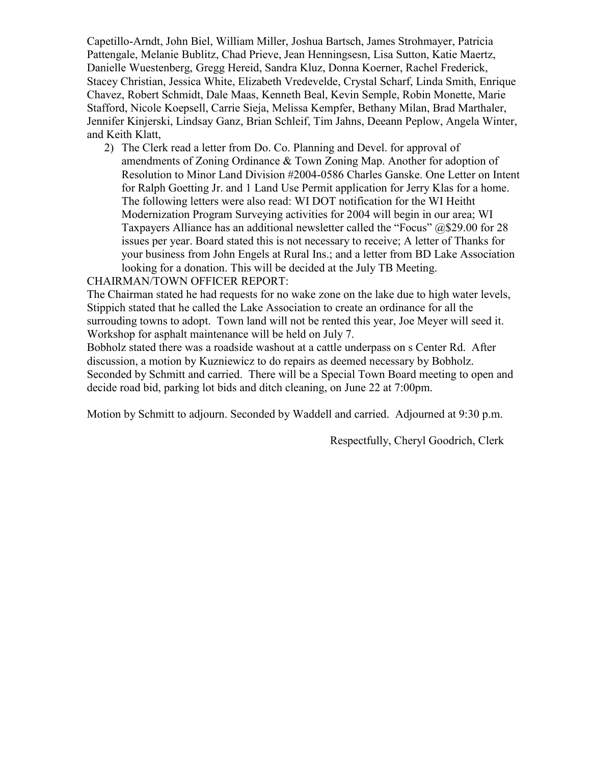Capetillo-Arndt, John Biel, William Miller, Joshua Bartsch, James Strohmayer, Patricia Pattengale, Melanie Bublitz, Chad Prieve, Jean Henningsesn, Lisa Sutton, Katie Maertz, Danielle Wuestenberg, Gregg Hereid, Sandra Kluz, Donna Koerner, Rachel Frederick, Stacey Christian, Jessica White, Elizabeth Vredevelde, Crystal Scharf, Linda Smith, Enrique Chavez, Robert Schmidt, Dale Maas, Kenneth Beal, Kevin Semple, Robin Monette, Marie Stafford, Nicole Koepsell, Carrie Sieja, Melissa Kempfer, Bethany Milan, Brad Marthaler, Jennifer Kinjerski, Lindsay Ganz, Brian Schleif, Tim Jahns, Deeann Peplow, Angela Winter, and Keith Klatt,

2) The Clerk read a letter from Do. Co. Planning and Devel. for approval of amendments of Zoning Ordinance & Town Zoning Map. Another for adoption of Resolution to Minor Land Division #2004-0586 Charles Ganske. One Letter on Intent for Ralph Goetting Jr. and 1 Land Use Permit application for Jerry Klas for a home. The following letters were also read: WI DOT notification for the WI Heitht Modernization Program Surveying activities for 2004 will begin in our area; WI Taxpayers Alliance has an additional newsletter called the "Focus" @\$29.00 for 28 issues per year. Board stated this is not necessary to receive; A letter of Thanks for your business from John Engels at Rural Ins.; and a letter from BD Lake Association looking for a donation. This will be decided at the July TB Meeting.

#### CHAIRMAN/TOWN OFFICER REPORT:

The Chairman stated he had requests for no wake zone on the lake due to high water levels, Stippich stated that he called the Lake Association to create an ordinance for all the surrouding towns to adopt. Town land will not be rented this year, Joe Meyer will seed it. Workshop for asphalt maintenance will be held on July 7.

Bobholz stated there was a roadside washout at a cattle underpass on s Center Rd. After discussion, a motion by Kuzniewicz to do repairs as deemed necessary by Bobholz. Seconded by Schmitt and carried. There will be a Special Town Board meeting to open and decide road bid, parking lot bids and ditch cleaning, on June 22 at 7:00pm.

Motion by Schmitt to adjourn. Seconded by Waddell and carried. Adjourned at 9:30 p.m.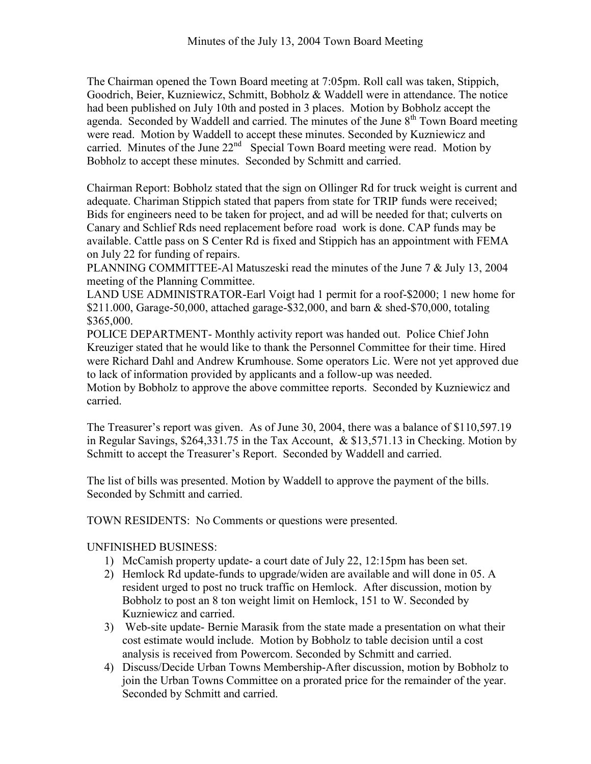The Chairman opened the Town Board meeting at 7:05pm. Roll call was taken, Stippich, Goodrich, Beier, Kuzniewicz, Schmitt, Bobholz & Waddell were in attendance. The notice had been published on July 10th and posted in 3 places. Motion by Bobholz accept the agenda. Seconded by Waddell and carried. The minutes of the June  $8<sup>th</sup>$  Town Board meeting were read. Motion by Waddell to accept these minutes. Seconded by Kuzniewicz and carried. Minutes of the June  $22<sup>nd</sup>$  Special Town Board meeting were read. Motion by Bobholz to accept these minutes. Seconded by Schmitt and carried.

Chairman Report: Bobholz stated that the sign on Ollinger Rd for truck weight is current and adequate. Chariman Stippich stated that papers from state for TRIP funds were received; Bids for engineers need to be taken for project, and ad will be needed for that; culverts on Canary and Schlief Rds need replacement before road work is done. CAP funds may be available. Cattle pass on S Center Rd is fixed and Stippich has an appointment with FEMA on July 22 for funding of repairs.

PLANNING COMMITTEE-Al Matuszeski read the minutes of the June 7 & July 13, 2004 meeting of the Planning Committee.

LAND USE ADMINISTRATOR-Earl Voigt had 1 permit for a roof-\$2000; 1 new home for \$211.000, Garage-50,000, attached garage-\$32,000, and barn & shed-\$70,000, totaling \$365,000.

POLICE DEPARTMENT- Monthly activity report was handed out. Police Chief John Kreuziger stated that he would like to thank the Personnel Committee for their time. Hired were Richard Dahl and Andrew Krumhouse. Some operators Lic. Were not yet approved due to lack of information provided by applicants and a follow-up was needed.

Motion by Bobholz to approve the above committee reports. Seconded by Kuzniewicz and carried.

The Treasurer's report was given. As of June 30, 2004, there was a balance of \$110,597.19 in Regular Savings, \$264,331.75 in the Tax Account, & \$13,571.13 in Checking. Motion by Schmitt to accept the Treasurer's Report. Seconded by Waddell and carried.

The list of bills was presented. Motion by Waddell to approve the payment of the bills. Seconded by Schmitt and carried.

TOWN RESIDENTS: No Comments or questions were presented.

# UNFINISHED BUSINESS:

- 1) McCamish property update- a court date of July 22, 12:15pm has been set.
- 2) Hemlock Rd update-funds to upgrade/widen are available and will done in 05. A resident urged to post no truck traffic on Hemlock. After discussion, motion by Bobholz to post an 8 ton weight limit on Hemlock, 151 to W. Seconded by Kuzniewicz and carried.
- 3) Web-site update- Bernie Marasik from the state made a presentation on what their cost estimate would include. Motion by Bobholz to table decision until a cost analysis is received from Powercom. Seconded by Schmitt and carried.
- 4) Discuss/Decide Urban Towns Membership-After discussion, motion by Bobholz to join the Urban Towns Committee on a prorated price for the remainder of the year. Seconded by Schmitt and carried.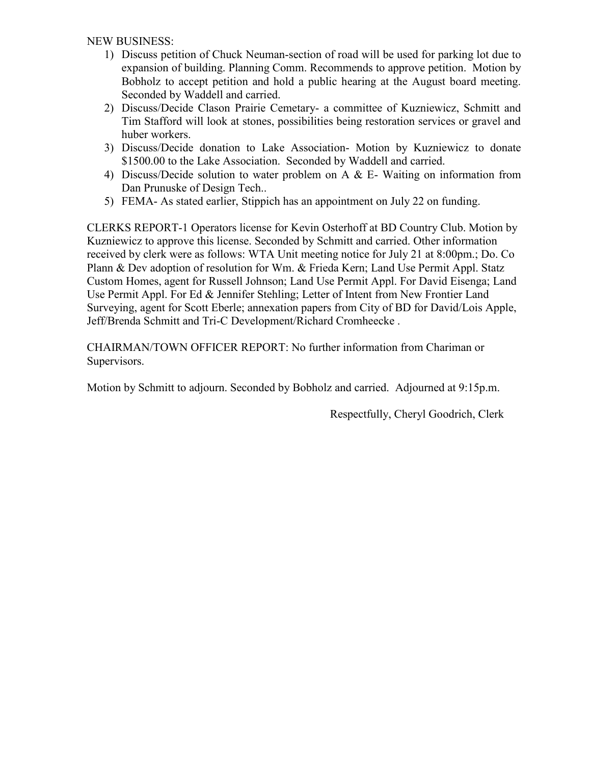NEW BUSINESS:

- 1) Discuss petition of Chuck Neuman-section of road will be used for parking lot due to expansion of building. Planning Comm. Recommends to approve petition. Motion by Bobholz to accept petition and hold a public hearing at the August board meeting. Seconded by Waddell and carried.
- 2) Discuss/Decide Clason Prairie Cemetary- a committee of Kuzniewicz, Schmitt and Tim Stafford will look at stones, possibilities being restoration services or gravel and huber workers.
- 3) Discuss/Decide donation to Lake Association- Motion by Kuzniewicz to donate \$1500.00 to the Lake Association. Seconded by Waddell and carried.
- 4) Discuss/Decide solution to water problem on A & E- Waiting on information from Dan Prunuske of Design Tech..
- 5) FEMA- As stated earlier, Stippich has an appointment on July 22 on funding.

CLERKS REPORT-1 Operators license for Kevin Osterhoff at BD Country Club. Motion by Kuzniewicz to approve this license. Seconded by Schmitt and carried. Other information received by clerk were as follows: WTA Unit meeting notice for July 21 at 8:00pm.; Do. Co Plann & Dev adoption of resolution for Wm. & Frieda Kern; Land Use Permit Appl. Statz Custom Homes, agent for Russell Johnson; Land Use Permit Appl. For David Eisenga; Land Use Permit Appl. For Ed & Jennifer Stehling; Letter of Intent from New Frontier Land Surveying, agent for Scott Eberle; annexation papers from City of BD for David/Lois Apple, Jeff/Brenda Schmitt and Tri-C Development/Richard Cromheecke .

CHAIRMAN/TOWN OFFICER REPORT: No further information from Chariman or Supervisors.

Motion by Schmitt to adjourn. Seconded by Bobholz and carried. Adjourned at 9:15p.m.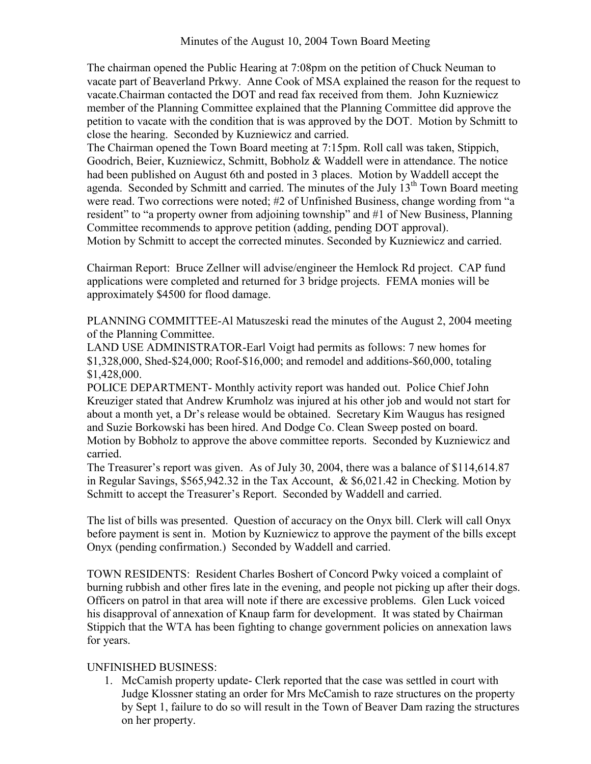The chairman opened the Public Hearing at 7:08pm on the petition of Chuck Neuman to vacate part of Beaverland Prkwy. Anne Cook of MSA explained the reason for the request to vacate.Chairman contacted the DOT and read fax received from them. John Kuzniewicz member of the Planning Committee explained that the Planning Committee did approve the petition to vacate with the condition that is was approved by the DOT. Motion by Schmitt to close the hearing. Seconded by Kuzniewicz and carried.

The Chairman opened the Town Board meeting at 7:15pm. Roll call was taken, Stippich, Goodrich, Beier, Kuzniewicz, Schmitt, Bobholz & Waddell were in attendance. The notice had been published on August 6th and posted in 3 places. Motion by Waddell accept the agenda. Seconded by Schmitt and carried. The minutes of the July 13<sup>th</sup> Town Board meeting were read. Two corrections were noted; #2 of Unfinished Business, change wording from "a resident" to "a property owner from adjoining township" and #1 of New Business, Planning Committee recommends to approve petition (adding, pending DOT approval). Motion by Schmitt to accept the corrected minutes. Seconded by Kuzniewicz and carried.

Chairman Report: Bruce Zellner will advise/engineer the Hemlock Rd project. CAP fund applications were completed and returned for 3 bridge projects. FEMA monies will be approximately \$4500 for flood damage.

PLANNING COMMITTEE-Al Matuszeski read the minutes of the August 2, 2004 meeting of the Planning Committee.

LAND USE ADMINISTRATOR-Earl Voigt had permits as follows: 7 new homes for \$1,328,000, Shed-\$24,000; Roof-\$16,000; and remodel and additions-\$60,000, totaling \$1,428,000.

POLICE DEPARTMENT- Monthly activity report was handed out. Police Chief John Kreuziger stated that Andrew Krumholz was injured at his other job and would not start for about a month yet, a Dr's release would be obtained. Secretary Kim Waugus has resigned and Suzie Borkowski has been hired. And Dodge Co. Clean Sweep posted on board. Motion by Bobholz to approve the above committee reports. Seconded by Kuzniewicz and carried.

The Treasurer's report was given. As of July 30, 2004, there was a balance of \$114,614.87 in Regular Savings, \$565,942.32 in the Tax Account, & \$6,021.42 in Checking. Motion by Schmitt to accept the Treasurer's Report. Seconded by Waddell and carried.

The list of bills was presented. Question of accuracy on the Onyx bill. Clerk will call Onyx before payment is sent in. Motion by Kuzniewicz to approve the payment of the bills except Onyx (pending confirmation.) Seconded by Waddell and carried.

TOWN RESIDENTS: Resident Charles Boshert of Concord Pwky voiced a complaint of burning rubbish and other fires late in the evening, and people not picking up after their dogs. Officers on patrol in that area will note if there are excessive problems. Glen Luck voiced his disapproval of annexation of Knaup farm for development. It was stated by Chairman Stippich that the WTA has been fighting to change government policies on annexation laws for years.

## UNFINISHED BUSINESS:

1. McCamish property update- Clerk reported that the case was settled in court with Judge Klossner stating an order for Mrs McCamish to raze structures on the property by Sept 1, failure to do so will result in the Town of Beaver Dam razing the structures on her property.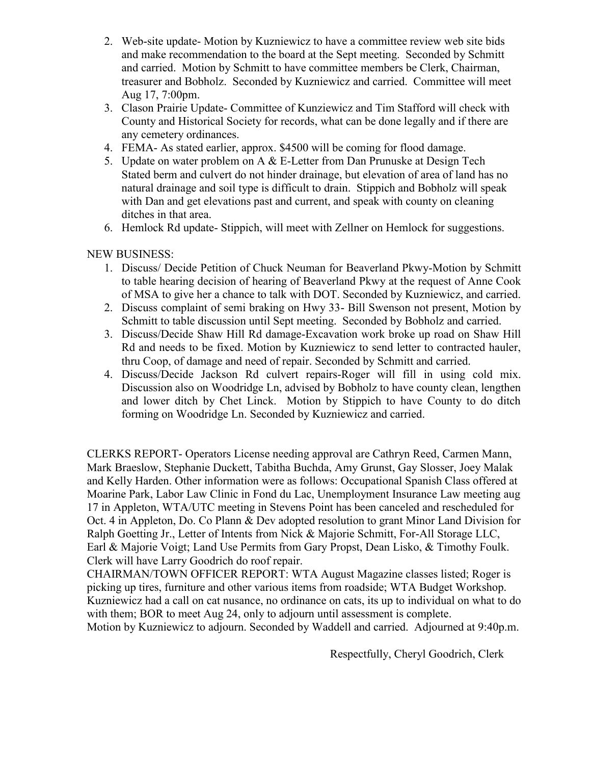- 2. Web-site update- Motion by Kuzniewicz to have a committee review web site bids and make recommendation to the board at the Sept meeting. Seconded by Schmitt and carried. Motion by Schmitt to have committee members be Clerk, Chairman, treasurer and Bobholz. Seconded by Kuzniewicz and carried. Committee will meet Aug 17, 7:00pm.
- 3. Clason Prairie Update- Committee of Kunziewicz and Tim Stafford will check with County and Historical Society for records, what can be done legally and if there are any cemetery ordinances.
- 4. FEMA- As stated earlier, approx. \$4500 will be coming for flood damage.
- 5. Update on water problem on A & E-Letter from Dan Prunuske at Design Tech Stated berm and culvert do not hinder drainage, but elevation of area of land has no natural drainage and soil type is difficult to drain. Stippich and Bobholz will speak with Dan and get elevations past and current, and speak with county on cleaning ditches in that area.
- 6. Hemlock Rd update- Stippich, will meet with Zellner on Hemlock for suggestions.

# NEW BUSINESS:

- 1. Discuss/ Decide Petition of Chuck Neuman for Beaverland Pkwy-Motion by Schmitt to table hearing decision of hearing of Beaverland Pkwy at the request of Anne Cook of MSA to give her a chance to talk with DOT. Seconded by Kuzniewicz, and carried.
- 2. Discuss complaint of semi braking on Hwy 33- Bill Swenson not present, Motion by Schmitt to table discussion until Sept meeting. Seconded by Bobholz and carried.
- 3. Discuss/Decide Shaw Hill Rd damage-Excavation work broke up road on Shaw Hill Rd and needs to be fixed. Motion by Kuzniewicz to send letter to contracted hauler, thru Coop, of damage and need of repair. Seconded by Schmitt and carried.
- 4. Discuss/Decide Jackson Rd culvert repairs-Roger will fill in using cold mix. Discussion also on Woodridge Ln, advised by Bobholz to have county clean, lengthen and lower ditch by Chet Linck. Motion by Stippich to have County to do ditch forming on Woodridge Ln. Seconded by Kuzniewicz and carried.

CLERKS REPORT- Operators License needing approval are Cathryn Reed, Carmen Mann, Mark Braeslow, Stephanie Duckett, Tabitha Buchda, Amy Grunst, Gay Slosser, Joey Malak and Kelly Harden. Other information were as follows: Occupational Spanish Class offered at Moarine Park, Labor Law Clinic in Fond du Lac, Unemployment Insurance Law meeting aug 17 in Appleton, WTA/UTC meeting in Stevens Point has been canceled and rescheduled for Oct. 4 in Appleton, Do. Co Plann & Dev adopted resolution to grant Minor Land Division for Ralph Goetting Jr., Letter of Intents from Nick & Majorie Schmitt, For-All Storage LLC, Earl & Majorie Voigt; Land Use Permits from Gary Propst, Dean Lisko, & Timothy Foulk. Clerk will have Larry Goodrich do roof repair.

CHAIRMAN/TOWN OFFICER REPORT: WTA August Magazine classes listed; Roger is picking up tires, furniture and other various items from roadside; WTA Budget Workshop. Kuzniewicz had a call on cat nusance, no ordinance on cats, its up to individual on what to do with them; BOR to meet Aug 24, only to adjourn until assessment is complete. Motion by Kuzniewicz to adjourn. Seconded by Waddell and carried. Adjourned at 9:40p.m.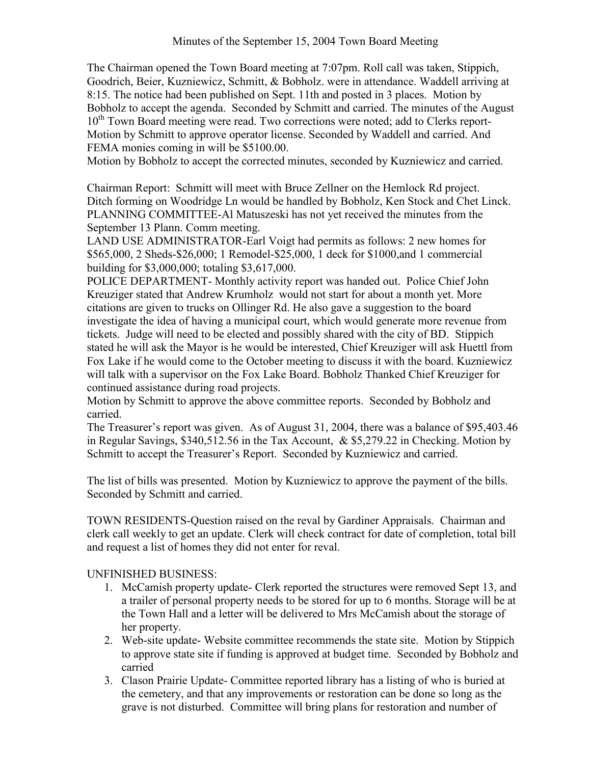The Chairman opened the Town Board meeting at 7:07pm. Roll call was taken, Stippich, Goodrich, Beier, Kuzniewicz, Schmitt, & Bobholz. were in attendance. Waddell arriving at 8:15. The notice had been published on Sept. 11th and posted in 3 places. Motion by Bobholz to accept the agenda. Seconded by Schmitt and carried. The minutes of the August 10<sup>th</sup> Town Board meeting were read. Two corrections were noted; add to Clerks report-Motion by Schmitt to approve operator license. Seconded by Waddell and carried. And FEMA monies coming in will be \$5100.00.

Motion by Bobholz to accept the corrected minutes, seconded by Kuzniewicz and carried.

Chairman Report: Schmitt will meet with Bruce Zellner on the Hemlock Rd project. Ditch forming on Woodridge Ln would be handled by Bobholz, Ken Stock and Chet Linck. PLANNING COMMITTEE-Al Matuszeski has not yet received the minutes from the September 13 Plann. Comm meeting.

LAND USE ADMINISTRATOR-Earl Voigt had permits as follows: 2 new homes for \$565,000, 2 Sheds-\$26,000; 1 Remodel-\$25,000, 1 deck for \$1000,and 1 commercial building for \$3,000,000; totaling \$3,617,000.

POLICE DEPARTMENT- Monthly activity report was handed out. Police Chief John Kreuziger stated that Andrew Krumholz would not start for about a month yet. More citations are given to trucks on Ollinger Rd. He also gave a suggestion to the board investigate the idea of having a municipal court, which would generate more revenue from tickets. Judge will need to be elected and possibly shared with the city of BD. Stippich stated he will ask the Mayor is he would be interested, Chief Kreuziger will ask Huettl from Fox Lake if he would come to the October meeting to discuss it with the board. Kuzniewicz will talk with a supervisor on the Fox Lake Board. Bobholz Thanked Chief Kreuziger for continued assistance during road projects.

Motion by Schmitt to approve the above committee reports. Seconded by Bobholz and carried.

The Treasurer's report was given. As of August 31, 2004, there was a balance of \$95,403.46 in Regular Savings, \$340,512.56 in the Tax Account, & \$5,279.22 in Checking. Motion by Schmitt to accept the Treasurer's Report. Seconded by Kuzniewicz and carried.

The list of bills was presented. Motion by Kuzniewicz to approve the payment of the bills. Seconded by Schmitt and carried.

TOWN RESIDENTS-Question raised on the reval by Gardiner Appraisals. Chairman and clerk call weekly to get an update. Clerk will check contract for date of completion, total bill and request a list of homes they did not enter for reval.

## UNFINISHED BUSINESS:

- 1. McCamish property update- Clerk reported the structures were removed Sept 13, and a trailer of personal property needs to be stored for up to 6 months. Storage will be at the Town Hall and a letter will be delivered to Mrs McCamish about the storage of her property.
- 2. Web-site update- Website committee recommends the state site. Motion by Stippich to approve state site if funding is approved at budget time. Seconded by Bobholz and carried
- 3. Clason Prairie Update- Committee reported library has a listing of who is buried at the cemetery, and that any improvements or restoration can be done so long as the grave is not disturbed. Committee will bring plans for restoration and number of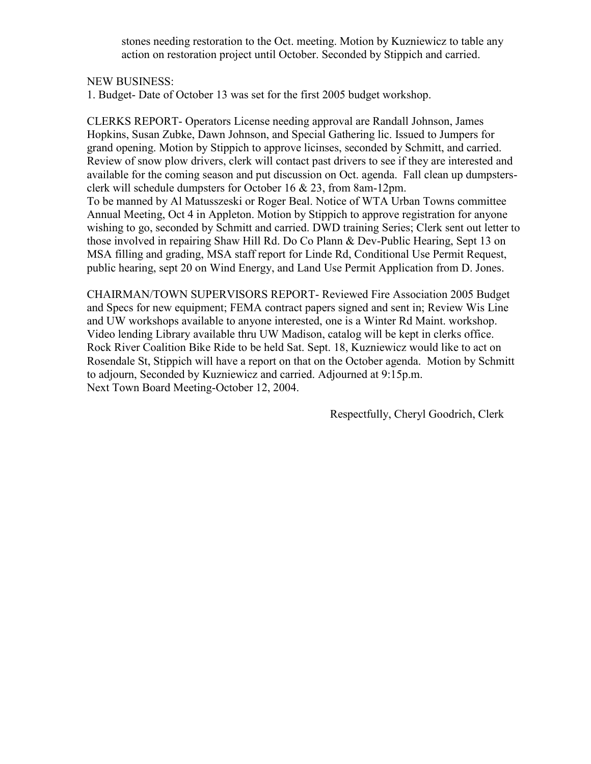stones needing restoration to the Oct. meeting. Motion by Kuzniewicz to table any action on restoration project until October. Seconded by Stippich and carried.

#### NEW BUSINESS:

1. Budget- Date of October 13 was set for the first 2005 budget workshop.

CLERKS REPORT- Operators License needing approval are Randall Johnson, James Hopkins, Susan Zubke, Dawn Johnson, and Special Gathering lic. Issued to Jumpers for grand opening. Motion by Stippich to approve licinses, seconded by Schmitt, and carried. Review of snow plow drivers, clerk will contact past drivers to see if they are interested and available for the coming season and put discussion on Oct. agenda. Fall clean up dumpstersclerk will schedule dumpsters for October 16 & 23, from 8am-12pm. To be manned by Al Matusszeski or Roger Beal. Notice of WTA Urban Towns committee Annual Meeting, Oct 4 in Appleton. Motion by Stippich to approve registration for anyone wishing to go, seconded by Schmitt and carried. DWD training Series; Clerk sent out letter to those involved in repairing Shaw Hill Rd. Do Co Plann & Dev-Public Hearing, Sept 13 on MSA filling and grading, MSA staff report for Linde Rd, Conditional Use Permit Request, public hearing, sept 20 on Wind Energy, and Land Use Permit Application from D. Jones.

CHAIRMAN/TOWN SUPERVISORS REPORT- Reviewed Fire Association 2005 Budget and Specs for new equipment; FEMA contract papers signed and sent in; Review Wis Line and UW workshops available to anyone interested, one is a Winter Rd Maint. workshop. Video lending Library available thru UW Madison, catalog will be kept in clerks office. Rock River Coalition Bike Ride to be held Sat. Sept. 18, Kuzniewicz would like to act on Rosendale St, Stippich will have a report on that on the October agenda. Motion by Schmitt to adjourn, Seconded by Kuzniewicz and carried. Adjourned at 9:15p.m. Next Town Board Meeting-October 12, 2004.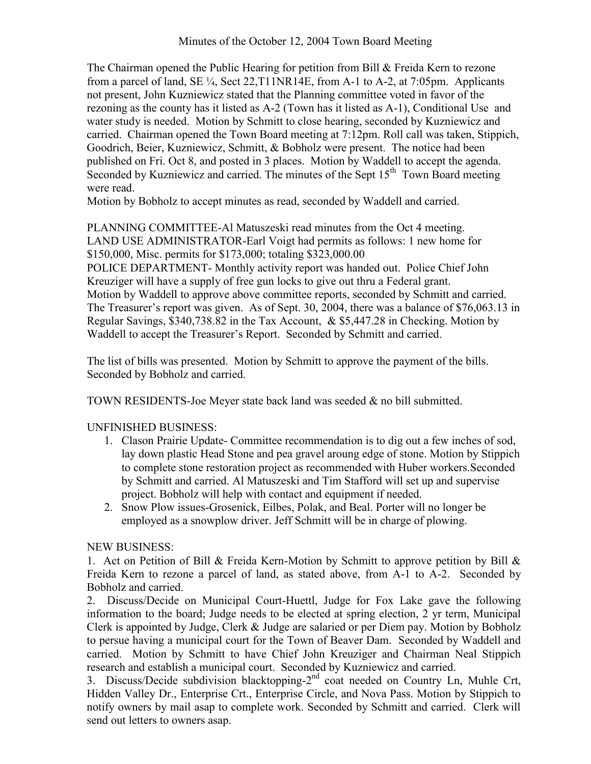The Chairman opened the Public Hearing for petition from Bill & Freida Kern to rezone from a parcel of land, SE ¼, Sect 22,T11NR14E, from A-1 to A-2, at 7:05pm. Applicants not present, John Kuzniewicz stated that the Planning committee voted in favor of the rezoning as the county has it listed as A-2 (Town has it listed as A-1), Conditional Use and water study is needed. Motion by Schmitt to close hearing, seconded by Kuzniewicz and carried. Chairman opened the Town Board meeting at 7:12pm. Roll call was taken, Stippich, Goodrich, Beier, Kuzniewicz, Schmitt, & Bobholz were present. The notice had been published on Fri. Oct 8, and posted in 3 places. Motion by Waddell to accept the agenda. Seconded by Kuzniewicz and carried. The minutes of the Sept 15<sup>th</sup> Town Board meeting were read.

Motion by Bobholz to accept minutes as read, seconded by Waddell and carried.

PLANNING COMMITTEE-Al Matuszeski read minutes from the Oct 4 meeting. LAND USE ADMINISTRATOR-Earl Voigt had permits as follows: 1 new home for \$150,000, Misc. permits for \$173,000; totaling \$323,000.00 POLICE DEPARTMENT- Monthly activity report was handed out. Police Chief John Kreuziger will have a supply of free gun locks to give out thru a Federal grant. Motion by Waddell to approve above committee reports, seconded by Schmitt and carried. The Treasurer's report was given. As of Sept. 30, 2004, there was a balance of \$76,063.13 in Regular Savings, \$340,738.82 in the Tax Account, & \$5,447.28 in Checking. Motion by Waddell to accept the Treasurer's Report. Seconded by Schmitt and carried.

The list of bills was presented. Motion by Schmitt to approve the payment of the bills. Seconded by Bobholz and carried.

TOWN RESIDENTS-Joe Meyer state back land was seeded & no bill submitted.

# UNFINISHED BUSINESS:

- 1. Clason Prairie Update- Committee recommendation is to dig out a few inches of sod, lay down plastic Head Stone and pea gravel aroung edge of stone. Motion by Stippich to complete stone restoration project as recommended with Huber workers.Seconded by Schmitt and carried. Al Matuszeski and Tim Stafford will set up and supervise project. Bobholz will help with contact and equipment if needed.
- 2. Snow Plow issues-Grosenick, Eilbes, Polak, and Beal. Porter will no longer be employed as a snowplow driver. Jeff Schmitt will be in charge of plowing.

## NEW BUSINESS:

1. Act on Petition of Bill & Freida Kern-Motion by Schmitt to approve petition by Bill & Freida Kern to rezone a parcel of land, as stated above, from A-1 to A-2. Seconded by Bobholz and carried.

2. Discuss/Decide on Municipal Court-Huettl, Judge for Fox Lake gave the following information to the board; Judge needs to be elected at spring election, 2 yr term, Municipal Clerk is appointed by Judge, Clerk & Judge are salaried or per Diem pay. Motion by Bobholz to persue having a municipal court for the Town of Beaver Dam. Seconded by Waddell and carried. Motion by Schmitt to have Chief John Kreuziger and Chairman Neal Stippich research and establish a municipal court. Seconded by Kuzniewicz and carried.

3. Discuss/Decide subdivision blacktopping-2nd coat needed on Country Ln, Muhle Crt, Hidden Valley Dr., Enterprise Crt., Enterprise Circle, and Nova Pass. Motion by Stippich to notify owners by mail asap to complete work. Seconded by Schmitt and carried. Clerk will send out letters to owners asap.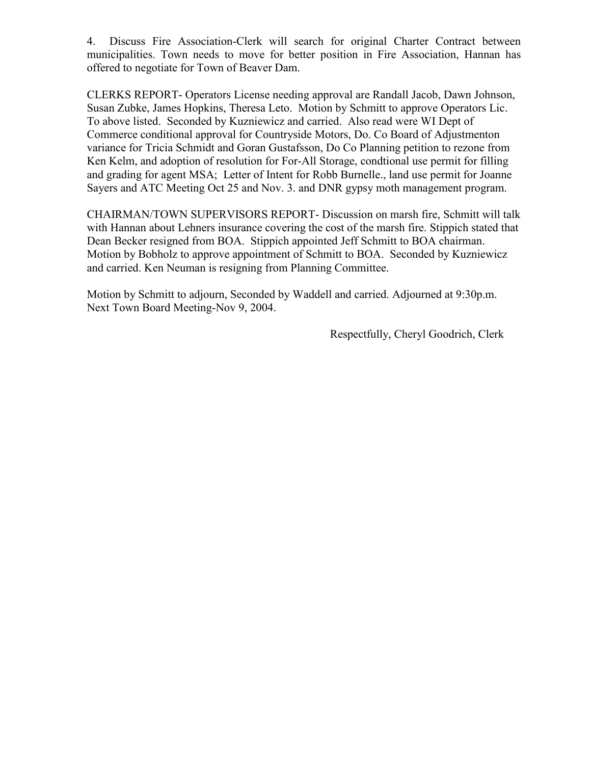4. Discuss Fire Association-Clerk will search for original Charter Contract between municipalities. Town needs to move for better position in Fire Association, Hannan has offered to negotiate for Town of Beaver Dam.

CLERKS REPORT- Operators License needing approval are Randall Jacob, Dawn Johnson, Susan Zubke, James Hopkins, Theresa Leto. Motion by Schmitt to approve Operators Lic. To above listed. Seconded by Kuzniewicz and carried. Also read were WI Dept of Commerce conditional approval for Countryside Motors, Do. Co Board of Adjustmenton variance for Tricia Schmidt and Goran Gustafsson, Do Co Planning petition to rezone from Ken Kelm, and adoption of resolution for For-All Storage, condtional use permit for filling and grading for agent MSA; Letter of Intent for Robb Burnelle., land use permit for Joanne Sayers and ATC Meeting Oct 25 and Nov. 3. and DNR gypsy moth management program.

CHAIRMAN/TOWN SUPERVISORS REPORT- Discussion on marsh fire, Schmitt will talk with Hannan about Lehners insurance covering the cost of the marsh fire. Stippich stated that Dean Becker resigned from BOA. Stippich appointed Jeff Schmitt to BOA chairman. Motion by Bobholz to approve appointment of Schmitt to BOA. Seconded by Kuzniewicz and carried. Ken Neuman is resigning from Planning Committee.

Motion by Schmitt to adjourn, Seconded by Waddell and carried. Adjourned at 9:30p.m. Next Town Board Meeting-Nov 9, 2004.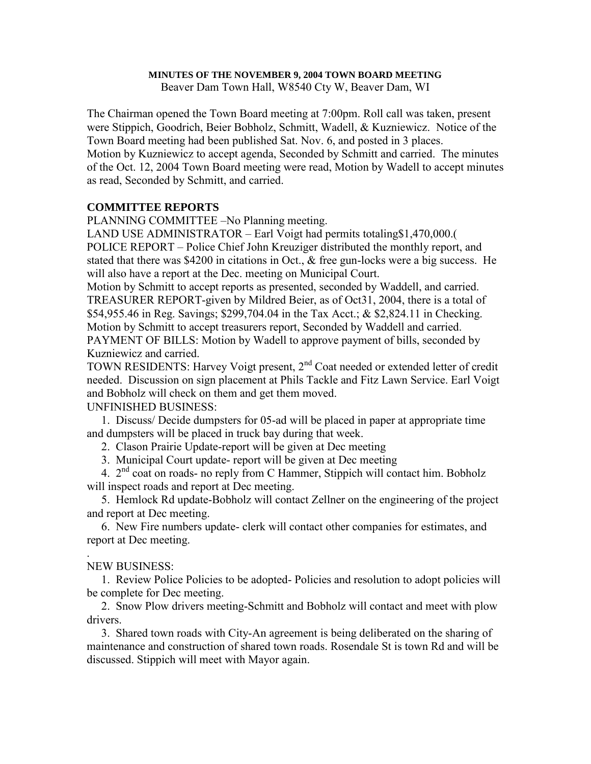#### **MINUTES OF THE NOVEMBER 9, 2004 TOWN BOARD MEETING**

Beaver Dam Town Hall, W8540 Cty W, Beaver Dam, WI

The Chairman opened the Town Board meeting at 7:00pm. Roll call was taken, present were Stippich, Goodrich, Beier Bobholz, Schmitt, Wadell, & Kuzniewicz. Notice of the Town Board meeting had been published Sat. Nov. 6, and posted in 3 places. Motion by Kuzniewicz to accept agenda, Seconded by Schmitt and carried. The minutes of the Oct. 12, 2004 Town Board meeting were read, Motion by Wadell to accept minutes as read, Seconded by Schmitt, and carried.

#### **COMMITTEE REPORTS**

PLANNING COMMITTEE –No Planning meeting.

LAND USE ADMINISTRATOR – Earl Voigt had permits totaling\$1,470,000.( POLICE REPORT – Police Chief John Kreuziger distributed the monthly report, and stated that there was \$4200 in citations in Oct., & free gun-locks were a big success. He will also have a report at the Dec. meeting on Municipal Court.

Motion by Schmitt to accept reports as presented, seconded by Waddell, and carried. TREASURER REPORT-given by Mildred Beier, as of Oct31, 2004, there is a total of \$54,955.46 in Reg. Savings; \$299,704.04 in the Tax Acct.; & \$2,824.11 in Checking. Motion by Schmitt to accept treasurers report, Seconded by Waddell and carried. PAYMENT OF BILLS: Motion by Wadell to approve payment of bills, seconded by Kuzniewicz and carried.

TOWN RESIDENTS: Harvey Voigt present, 2<sup>nd</sup> Coat needed or extended letter of credit needed. Discussion on sign placement at Phils Tackle and Fitz Lawn Service. Earl Voigt and Bobholz will check on them and get them moved.

#### UNFINISHED BUSINESS:

 1. Discuss/ Decide dumpsters for 05-ad will be placed in paper at appropriate time and dumpsters will be placed in truck bay during that week.

2. Clason Prairie Update-report will be given at Dec meeting

3. Municipal Court update- report will be given at Dec meeting

4. 2<sup>nd</sup> coat on roads- no reply from C Hammer, Stippich will contact him. Bobholz will inspect roads and report at Dec meeting.

 5. Hemlock Rd update-Bobholz will contact Zellner on the engineering of the project and report at Dec meeting.

 6. New Fire numbers update- clerk will contact other companies for estimates, and report at Dec meeting.

#### . NEW BUSINESS:

 1. Review Police Policies to be adopted- Policies and resolution to adopt policies will be complete for Dec meeting.

 2. Snow Plow drivers meeting-Schmitt and Bobholz will contact and meet with plow drivers.

 3. Shared town roads with City-An agreement is being deliberated on the sharing of maintenance and construction of shared town roads. Rosendale St is town Rd and will be discussed. Stippich will meet with Mayor again.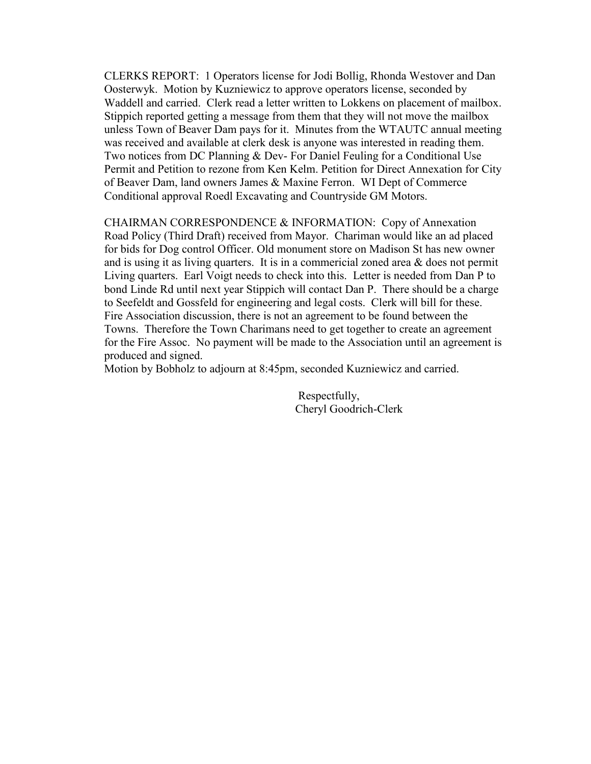CLERKS REPORT: 1 Operators license for Jodi Bollig, Rhonda Westover and Dan Oosterwyk. Motion by Kuzniewicz to approve operators license, seconded by Waddell and carried. Clerk read a letter written to Lokkens on placement of mailbox. Stippich reported getting a message from them that they will not move the mailbox unless Town of Beaver Dam pays for it. Minutes from the WTAUTC annual meeting was received and available at clerk desk is anyone was interested in reading them. Two notices from DC Planning & Dev- For Daniel Feuling for a Conditional Use Permit and Petition to rezone from Ken Kelm. Petition for Direct Annexation for City of Beaver Dam, land owners James & Maxine Ferron. WI Dept of Commerce Conditional approval Roedl Excavating and Countryside GM Motors.

CHAIRMAN CORRESPONDENCE & INFORMATION: Copy of Annexation Road Policy (Third Draft) received from Mayor. Chariman would like an ad placed for bids for Dog control Officer. Old monument store on Madison St has new owner and is using it as living quarters. It is in a commericial zoned area  $\&$  does not permit Living quarters. Earl Voigt needs to check into this. Letter is needed from Dan P to bond Linde Rd until next year Stippich will contact Dan P. There should be a charge to Seefeldt and Gossfeld for engineering and legal costs. Clerk will bill for these. Fire Association discussion, there is not an agreement to be found between the Towns. Therefore the Town Charimans need to get together to create an agreement for the Fire Assoc. No payment will be made to the Association until an agreement is produced and signed.

Motion by Bobholz to adjourn at 8:45pm, seconded Kuzniewicz and carried.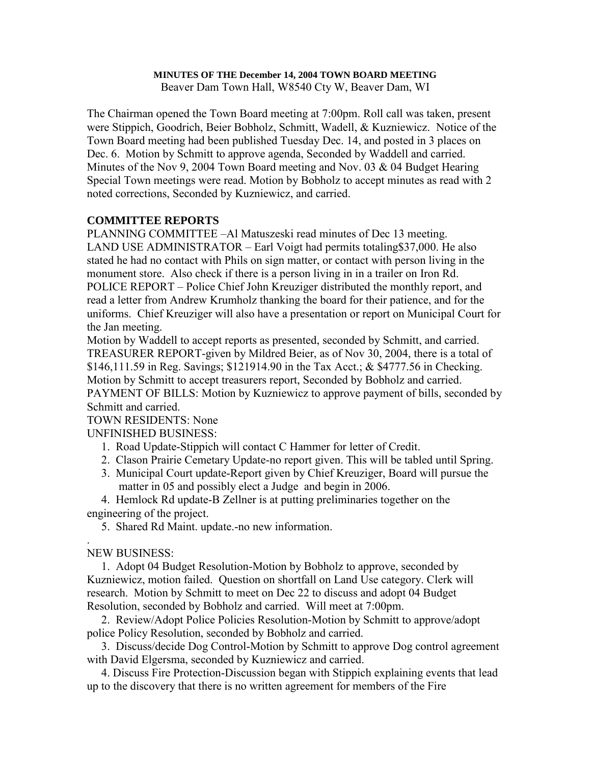# **MINUTES OF THE December 14, 2004 TOWN BOARD MEETING**

Beaver Dam Town Hall, W8540 Cty W, Beaver Dam, WI

The Chairman opened the Town Board meeting at 7:00pm. Roll call was taken, present were Stippich, Goodrich, Beier Bobholz, Schmitt, Wadell, & Kuzniewicz. Notice of the Town Board meeting had been published Tuesday Dec. 14, and posted in 3 places on Dec. 6. Motion by Schmitt to approve agenda, Seconded by Waddell and carried. Minutes of the Nov 9, 2004 Town Board meeting and Nov. 03 & 04 Budget Hearing Special Town meetings were read. Motion by Bobholz to accept minutes as read with 2 noted corrections, Seconded by Kuzniewicz, and carried.

# **COMMITTEE REPORTS**

PLANNING COMMITTEE –Al Matuszeski read minutes of Dec 13 meeting. LAND USE ADMINISTRATOR – Earl Voigt had permits totaling\$37,000. He also stated he had no contact with Phils on sign matter, or contact with person living in the monument store. Also check if there is a person living in in a trailer on Iron Rd. POLICE REPORT – Police Chief John Kreuziger distributed the monthly report, and read a letter from Andrew Krumholz thanking the board for their patience, and for the uniforms. Chief Kreuziger will also have a presentation or report on Municipal Court for the Jan meeting.

Motion by Waddell to accept reports as presented, seconded by Schmitt, and carried. TREASURER REPORT-given by Mildred Beier, as of Nov 30, 2004, there is a total of \$146,111.59 in Reg. Savings; \$121914.90 in the Tax Acct.; & \$4777.56 in Checking. Motion by Schmitt to accept treasurers report, Seconded by Bobholz and carried. PAYMENT OF BILLS: Motion by Kuzniewicz to approve payment of bills, seconded by Schmitt and carried.

## TOWN RESIDENTS: None

UNFINISHED BUSINESS:

- 1. Road Update-Stippich will contact C Hammer for letter of Credit.
- 2. Clason Prairie Cemetary Update-no report given. This will be tabled until Spring.
- 3. Municipal Court update-Report given by Chief Kreuziger, Board will pursue the matter in 05 and possibly elect a Judge and begin in 2006.

 4. Hemlock Rd update-B Zellner is at putting preliminaries together on the engineering of the project.

5. Shared Rd Maint. update.-no new information.

#### . NEW BUSINESS:

 1. Adopt 04 Budget Resolution-Motion by Bobholz to approve, seconded by Kuzniewicz, motion failed. Question on shortfall on Land Use category. Clerk will research. Motion by Schmitt to meet on Dec 22 to discuss and adopt 04 Budget Resolution, seconded by Bobholz and carried. Will meet at 7:00pm.

 2. Review/Adopt Police Policies Resolution-Motion by Schmitt to approve/adopt police Policy Resolution, seconded by Bobholz and carried.

 3. Discuss/decide Dog Control-Motion by Schmitt to approve Dog control agreement with David Elgersma, seconded by Kuzniewicz and carried.

 4. Discuss Fire Protection-Discussion began with Stippich explaining events that lead up to the discovery that there is no written agreement for members of the Fire